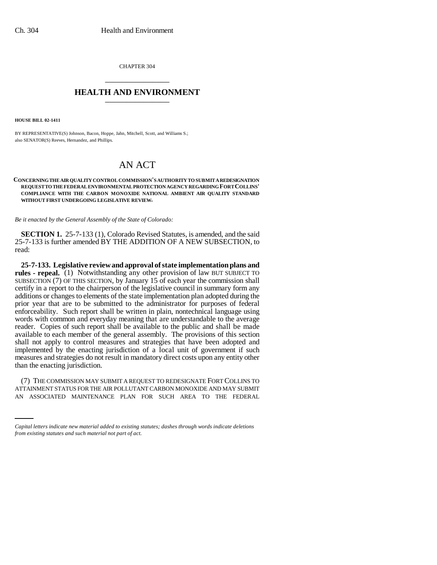CHAPTER 304 \_\_\_\_\_\_\_\_\_\_\_\_\_\_\_

## **HEALTH AND ENVIRONMENT** \_\_\_\_\_\_\_\_\_\_\_\_\_\_\_

**HOUSE BILL 02-1411**

BY REPRESENTATIVE(S) Johnson, Bacon, Hoppe, Jahn, Mitchell, Scott, and Williams S.; also SENATOR(S) Reeves, Hernandez, and Phillips.

## AN ACT

**CONCERNING THE AIR QUALITY CONTROL COMMISSION'S AUTHORITY TO SUBMIT A REDESIGNATION REQUEST TO THE FEDERAL ENVIRONMENTAL PROTECTION AGENCY REGARDING FORT COLLINS' COMPLIANCE WITH THE CARBON MONOXIDE NATIONAL AMBIENT AIR QUALITY STANDARD WITHOUT FIRST UNDERGOING LEGISLATIVE REVIEW.**

*Be it enacted by the General Assembly of the State of Colorado:*

**SECTION 1.** 25-7-133 (1), Colorado Revised Statutes, is amended, and the said 25-7-133 is further amended BY THE ADDITION OF A NEW SUBSECTION, to read:

**25-7-133. Legislative review and approval of state implementation plans and rules - repeal.** (1) Notwithstanding any other provision of law BUT SUBJECT TO SUBSECTION (7) OF THIS SECTION, by January 15 of each year the commission shall certify in a report to the chairperson of the legislative council in summary form any additions or changes to elements of the state implementation plan adopted during the prior year that are to be submitted to the administrator for purposes of federal enforceability. Such report shall be written in plain, nontechnical language using words with common and everyday meaning that are understandable to the average reader. Copies of such report shall be available to the public and shall be made available to each member of the general assembly. The provisions of this section shall not apply to control measures and strategies that have been adopted and implemented by the enacting jurisdiction of a local unit of government if such measures and strategies do not result in mandatory direct costs upon any entity other than the enacting jurisdiction.

(7) THE COMMISSION MAY SUBMIT A REQUEST TO REDESIGNATE FORT COLLINS TO ATTAINMENT STATUS FOR THE AIR POLLUTANT CARBON MONOXIDE AND MAY SUBMIT AN ASSOCIATED MAINTENANCE PLAN FOR SUCH AREA TO THE FEDERAL

*Capital letters indicate new material added to existing statutes; dashes through words indicate deletions from existing statutes and such material not part of act.*